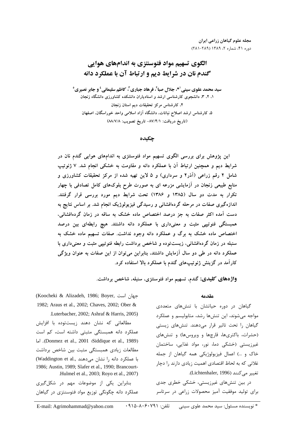# الگوی تسهیم مواد فتوسنتزی به اندامهای هوایی گندم نان در شرایط دیم و ارتباط آن با عملکرد دانه

سيد محمد علوي سيني'\*، جلال صباً'، فرهاد جباري'ً، كاظم سليماني' و جابر نصيري<sup>0</sup> ۱، ۲، ۳، دانشجوی کارشناسی ارشد و استادیاران دانشکده کشاورزی دانشگاه زنجان ۴. کارشناس مرکز تحقیقات دیم استان زنجان ۵، کارشناس ارشد اصلاح نباتات، دانشگاه آزاد اسلامی واحد خوراسگان، اصفهان (تاريخ دريافت: ٨٧/٤/١- تاريخ تصويب: ٨٨/٧/٨)

## چکیده

این پژوهش برای بررسی الگوی تسهیم مواد فتوسنتزی به اندامهای هوایی گندم نان در شرایط دیم و همچنین ارتباط آن با عملکرد دانه و مقاومت به خشکی انجام شد. ۷ ژنوتیپ شامل ۲ رقم زراعی (آذر۲ و سرداری) و ۵ لاین تهیه شده از مرکز تحقیقات کشاورزی و منابع طبیعی زنجان در آزمایشی مزرعه ای به صورت طرح بلوکهای کامل تصادفی با چهار تکرار به مدت دو سال (۱۳۸۵ و ۱۳۸۶) تحت شرایط دیم مورد بررسی قرار گرفتند. اندازهگیری صفات در مرحله گردهافشانی و رسیدگی فیزیولوژیک انجام شد. بر اساس نتایج به دست آمده اکثر صفات به جز درصد اختصاص ماده خشک به ساقه در زمان گردهافشانی، همبستگی فنوتیپی مثبت و معنیداری با عملکرد دانه داشتند. هیچ رابطهای بین درصد اختصاص ماده خشک به برگ و عملکرد دانه وجود نداشت. صفات تسهیم ماده خشک به سنبله در زمان گردهافشانی، زیستتوده و شاخص برداشت رابطه فنوتیپی مثبت و معنیداری با عملکرد دانه در طی دو سال آزمایش داشتند، بنابراین میتوان از این صفات به عنوان ویژگی کارآمد در گزینش ژنوتیپهای گندم با عملکرد بالا استفاده کرد.

**واژههای کلیدی:** گندم، تسهیم مواد فتوسنتزی، سنبله، شاخص برداشت.

#### مقدمه

گیاهان در دوره حیاتشان با تنشهای متعددی مواجه میشوند، این تنشها رشد، متابولیسم و عملکرد گیاهان را تحت تاثیر قرار میدهند. تنشهای زیستی (حشرات، باكترى ها، قارچها و ويروس ها) و تنش هاى غیرزیستی (خشکی دما، نور، مواد غذایی، ساختمان خاک و …) اعمال فیزیولوژیکی همه گیاهان از جمله غلاتی که به لحاظ اقتصادی اهمیت زیادی دارند را دچار تغيير مي كنند (Lichtenhaler, 1996).

در بین تنشهای غیرزیستی، خشکی خطری جدی برای تولید موفقیت آمیز محصولات زراعی در سرتاسر

(Koocheki & Alizadeh, 1986; Boyer, جهان است 1982; Araus et al., 2002; Chaves, 2002; Ober & Luterbacher, 2002; Ashraf & Harris, 2005)

مطالعاتی که نشان دهند زیستتوده با افزایش عملکرد دانه همبستگی مثبتی داشته است، کم است . (Donmez et al., 2001 : Siddique et al., 1989). اما مطالعات زيادى همبستگى مثبت بين شاخص برداشت با عملكرد دانه را نشان مى دهند ..Waddington et al 1986; Austin, 1989; Slafer et al., 1990; Brancourt-.Hulmel et al., 2003; Royo et al., 2007)

بنابراین یکی از موضوعات مهم در شکل گیری عملکرد دانه چگونگی توزیع مواد فتوسنتزی در گیاهان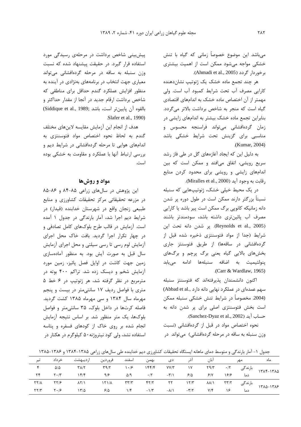می باشد این موضوع خصوصاً زمانی که گیاه با تنش خشکی مواجه می شود ممکن است از اهمیت بیشتری برخوردار گردد (Ahmadi et al., 2005).

هر چند تجمع ماده خشک یک ژنوتیپ نشاندهنده كارايي مصرف آب تحت شرايط كمبود آب است. ولي مهمتر از آن اختصاص ماده خشک به اندامهای اقتصادی گیاه است که منجر به شاخص برداشت بالاتر میگردد. بنابراین تجمع ماده خشک بیشتر به اندامهای زایشی در زمان گردهافشانی میتواند فراسنجه محسوس و مناسبی برای گزینش تحت شرایط خشکی باشد .(Kumar, 2004)

به دلیل این که ایجاد آغازههای گل در طی فاز رشد سریع رویشی، اتفاق میافتد و ممکن است که بین اندامهای زایشی و رویشی برای محدود کردن منابع , قابت به وجود آيد (Miralles et al., 2000).

در یک محیط خیلی خشک، ژنوتیپهایی که سنبله نسبتاً بزرگتر دارند ممکن است در طول دوره پر شدن دانه زمانیکه کانوپی برگ ممکن است پیر باشد یا کارایی مصرف آب پائینتری داشته باشد، سودمندتر باشند (Reynolds et al., 2005). ير شدن دانه تحت اين شرایط (جدا از مواد فتوسنتزی ذخیره شده قبل از گردهافشانی در ساقهها) از طریق فتوسنتز جاری بخشهای بالایی گیاه یعنی برگ پرچم و برگهای پنولتيميت به اضافه سنبلهها ادامه مىيابد .(Carr & Wardlaw, 1965)

اكنون دانشمندان يذيرفتهاند كه فتوسنتز سنبله سهم عمدهای در عملکرد نهایی دانه دارد .(Abbad et al (2004. مخصوصاً در شرايط تنش خشكي سنبله ممكن است بخش فتوسنتزی اصلی برای پر شدن دانه به حساب آيد (Sanchez-Dyaz et al., 2002).

نحوه اختصاص مواد در قبل از گردهافشانی (نسبت وزن سنبله به ساقه در مرحله گردهافشانی) میتواند در

ییش بینی شاخص برداشت در مرحلهی رسیدگی مورد استفاده قرار گیرد. در حقیقت پیشنهاد شده که نسبت وزن سنبله به ساقه در مرحله گردهافشانی می تواند معیاری جهت انتخاب در برنامههای بهنژادی در آینده به منظور افزایش عملکرد گندم حداقل برای مناطقی که شاخص برداشت ارقام جدید در آنجا از مقدار حداکثر و (Siddique et al., 1989; بالقوه آن پایین تر است، باشد Slafer et al., 1990)

هدف از انجام این آزمایش مقایسه لاینهای مختلف گندم به لحاظ نحوه اختصاص مواد فتوسنتزى به اندامهای هوایی تا مرحله گردهافشانی در شرایط دیم و بررسی ارتباط آنها با عملکرد و مقاومت به خشکی بوده است.

## مواد و روشها

این پژوهش در سالهای زراعی ۸۵-۸۴ و ۸۶-۸۵ در مزرعه تحقیقاتی مرکز تحقیقات کشاورزی و منابع طبیعی زنجان واقع در شهرستان خدابنده (قیدار) در شرایط دیم اجرا شد، آمار بارندگی در جدول ۱ آمده است. آزمایش در قالب طرح بلوکهای کامل تصادفی و در چهار تکرار اجرا گردید. بافت خاک محل اجرای آزمایش لوم رسی تا رسی سیلتی و محل اجرای آزمایش سال قبل به صورت آیش بود. به منظور آمادهسازی زمین جهت کاشت در اوایل فصل پائیز، زمین مورد آزمایش شخم و دیسک زده شد. تراکم ۴۰۰ بوته در مترمربع در نظر گرفته شد، هر ژنوتیپ در ۶ خط ۵ متری با فواصل ردیف ۱۷ سانتیمتر در بیست و پنجم مهرماه سال ۱۳۸۴ و سی مهرماه ۱۳۸۵ کشت گردید. فاصله کرتها در داخل بلوک، ۳۵ سانتی متر و فواصل بلوکها، یک متر منظور شد. بر اساس نتیجه آزمایش انجام شده بر روی خاک از کودهای فسفره و پتاسه استفاده نشد، ولی کود نیتروژنه۵۰ کیلوگرم در هکتار در

جدول ۱- آمار بارندگی و متوسط دمای ماهانه ایستگاه تحقیقات کشاورزی دیم خدابنده طی سالهای زراعی ۱۳۸۵-۱۳۸۴ و ۱۳۸۶–۱۳۸۵

| خر داد                   |                                                                                      |            |  |                       |                                                                                                                                                         |                                                  | ماه                                                                                                                                                                                            |
|--------------------------|--------------------------------------------------------------------------------------|------------|--|-----------------------|---------------------------------------------------------------------------------------------------------------------------------------------------------|--------------------------------------------------|------------------------------------------------------------------------------------------------------------------------------------------------------------------------------------------------|
| $Y \qquad \Delta/\Delta$ |                                                                                      |            |  |                       |                                                                                                                                                         |                                                  |                                                                                                                                                                                                |
|                          |                                                                                      |            |  |                       |                                                                                                                                                         |                                                  |                                                                                                                                                                                                |
|                          |                                                                                      |            |  |                       |                                                                                                                                                         |                                                  |                                                                                                                                                                                                |
|                          |                                                                                      |            |  |                       |                                                                                                                                                         |                                                  |                                                                                                                                                                                                |
|                          | ارديبهشت<br>$\gamma \gamma / \gamma$ $\gamma \cdot / \beta$ $\gamma \gamma / \Delta$ | 9/5<br>5/2 |  | دی بهمن اسفند فروردین | $\Delta$ /9 $\cdot$ /7 $-\overline{r}$ /1 $\frac{\epsilon}{\Delta}$<br>$1/\mathfrak{F}$ $-1/\mathfrak{r}$ $-\mathcal{A}/1$ $-\mathfrak{r}/\mathfrak{r}$ | 9/1<br>$Y/\mathfrak{f}$ $\qquad \qquad$ $\gamma$ | مهر آبان آذر<br>بارندگی ۲۹/۲ ۱۷۳ تا ۱۷ تا ۲۹/۲ ۱۳۸۲ ۲۹/۲ تا ۲۹/۲ تا ۲۳۸/۲ تا ۲۸/۲<br>۱۳۸۴–۱۳۸۴<br>دما ۱۶۱۶<br>بارندگی ۲۳/۲ ۸۸/۱ ۲۳/۲ ۲۲ ۱۲/۳ ۲۳/۲ ۸۸/۱ ۲۳/۲ بارندگی ۲۲/۸ ۲۳/۲ ۲۲/۸ ۲۲/۶<br>دما |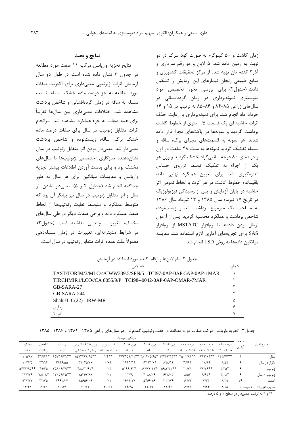# نتايج و بحث

نتايج تجزيه واريانس مركب ١١ صفت مورد مطالعه در جدول ٣ نشان داده شده است در طول دو سال آزمایش اثرات ژنوتیپی معنیداری برای اکثریت صفات مورد مطالعه به جز درصد ماده خشک سنبله، نسبت سنبله به ساقه در زمان گردهافشانی و شاخص برداشت مشاهده شد. اختلافات معنیداری بین سالها تقریباً برای همه صفات به جزء عملکرد مشاهده شد. سرانجام اثرات متقابل ژنوتیپ در سال برای صفات درصد ماده خشک برگ، ساقه، زیستتوده و شاخص برداشت معنیدار شد. معنیدار بودن اثر متقابل ژنوتیپ در سال نشان دهنده سازگاری اختصاصی ژنوتیپها با سالهای مختلف بود و برای بدست آوردن اطلاعات بیشتر تجزیه .<br>واریانس و مقایسات میانگین برای هر سال به طور جداگانه انجام شد (جداول ۴ و ۵). معنی دار نشدن اثر سال و اثر متقابل ژنوتیپ در سال نیز بیانگر آن بود که متوسط عملكرد و متوسط تفاوت ژنوتيپها از لحاظ صفت عملکرد دانه و برخی صفات دیگر در طی سال های مختلف، تغییرات چندانی نداشته است (جدول۳). در شرایط مدیترانهای، تغییرات در زمان سنبلهدهی معمولاً علت عمده اثرات متقابل ژنوتیپ در سال است.

زمان کاشت و ۵۰ کیلوگرم به صورت کود سرک در دو نوبت به زمین داده شد. ۵ لاین و دو رقم سرداری و آذر ۲ گندم نان تهیه شده از مرکز تحقیقات کشاورزی و منابع طبیعی زنجان تیمارهای این آزمایش را تشکیل دادند (جدول٢). براي بررسي نحوه تخصيص مواد فتوسنتزی نمونهبرداری در زمان گردهافشانی در سال های زراعی ۸۵-۸۴ و ۸۶-۸۵ به ترتیب در ۱۵ و ۱۶ خرداد ماه انجام شد. برای نمونهبرداری با رعایت حذف اثرات حاشیه ای یک قسمت ۰/۵ متری از خطوط کاشت برداشت گردید و نمونهها در پاکتهای مجزا قرار داده شدند. هر نمونه به قسمتهای مجزای برگ، ساقه و سنبله تفکیک گردید نمونهها به مدت ۴۸ ساعت در آون و در دمای ۸۰ درجه سانتیگراد خشک گردید و وزن هر یک از اجزاء به تفکیک توسط ترازوی حساس اندازهگیری شد. برای تعیین عملکرد نهایی دانه، باقیمانده خطوط کاشت در هر کرت با لحاظ نمودن اثر حاشیه در پایان آزمایش و پس از رسیدگی فیزیولوژیک در تاریخ ١٧ تیرماه سال ١٣٨۵ و ١٣ تیرماه سال ١٣٨۶ به مساحت یک مترمربع برداشت شد و زیستتوده، شاخص برداشت و عملکرد محاسبه گردید. پس از آزمون نرمال بودن دادهها با نرمافزار MSTATC از نرمافزار SAS برای تجزیههای آماری لازم استفاده شد. مقایسه مبانگین دادهها به روش LSD انجام شد.

شماره نام لاين TAST/TORIM/3/MLC/4/CWW339.5/SPN/5 TCI97-0AP-0AP-5AP-0AP-1MAR TIRCHMIR1/LCO//CA 8055/9/P TCI98--0042-0AP-0AP-OMAR-7MAR ۲ GB-SARA-27 ٣  $\epsilon$ GB-SARA-244 ۵ Shahi/T-C(22) IRW-MR ۶ سرداری آذر-۲  $\mathsf{v}$ 

جدول ۲- نام لاینها و ارقام گندم مورد استفاده در آزمایش

|  |  | جدول۳– تجزیه واریانس مرکب صفات مورد مطالعه در هفت ژنوتیپ گندم نان در سالهای زراعی ۱۳۸۵– ۱۳۸۴ و ۱۳۸۶– ۱۳۸۵ |  |  |  |  |  |  |
|--|--|-----------------------------------------------------------------------------------------------------------|--|--|--|--|--|--|
|--|--|-----------------------------------------------------------------------------------------------------------|--|--|--|--|--|--|

|               |               |                                |                              |                    |               |                                     | ميانگين مربعات                                           |                                          |                  |                |                               |                                   |
|---------------|---------------|--------------------------------|------------------------------|--------------------|---------------|-------------------------------------|----------------------------------------------------------|------------------------------------------|------------------|----------------|-------------------------------|-----------------------------------|
| منابع تغيير   | درجه<br>ازادى | د, صد ماده                     | د, صد ماده                   | د, صد ماده         | وزن خشک       | وزن خشک                             | وزن خشک                                                  | نسبت وزن                                 | وزن خشک کل در    | زيست           | شاخص                          | عملک د                            |
|               |               |                                | خشک برگ گخشک ساقه گخشک سنیله |                    | بر گ          | ساقه                                | سنىلە                                                    | سنىلە بە ساقە                            | زمان گردەافشانى  | توده           | ، داشت                        | دانه                              |
| سال           |               | $155/100**$                    | 1557.5                       |                    |               |                                     | $TVT9\Delta1/T1**T1T+ \Delta56*T1T77T7T7*T7T8*T4.17T7*T$ | $1/F**$                                  | $1097777/90**$   | ***********    | 417414                        | 1.21                              |
| نکرار در سال  | ۶             | ۱/۵۹                           | 11/7f                        | 39191              | ARA/97        | 15151.9                             | 1559/79                                                  | $\cdot/\cdot$ ۴                          | Y9.70/Y.         | <b>TATSIDD</b> | fY/9f                         | 1.981                             |
| زنوتيپ        | ۶             | $T/T\Delta^*$                  | $Yf/Yq**$                    | Y1/T1              | 1817/77**     | $17YYY/1Y*$                         | $0199/97*$                                               | $\cdot$ / $\cdot$ $\tau$                 | <b>FAAT1/۶۲*</b> | TAA . 9/49**   | ۴۹/۴۵                         | $\Delta$ FFT/ $\Lambda \Delta$ ** |
| ِ'نوتيپ × سال | ۶             | $\mathbf{Y}/\cdot\mathbf{A}^*$ | $9/95*$                      | $\lambda/\Delta V$ | 551.7         | $f \cdot \lambda \lambda / \cdot f$ | ۲۲۴۹                                                     | $\cdot$ / $\cdot$ $\tau$                 | 10797/11         | $15.09/70**$   | $Y \Lambda / \cdot \Lambda^*$ | YYY/Y9                            |
| شتىاه         | ۳۶            | ۱۱۲۹                           | T/Y                          | 17'                | <b>TIJ/YE</b> | <b>AFSSIVS</b>                      | 1811/17                                                  | $\cdot$ / $\cdot$ $\tau$                 | 108081.9         | Y95Y/YY        | $\tau\tau/\tau\Delta$         | 957/74                            |
| ضريب تغييرات  | ( د,صد ا      | $\lambda/\lambda$              | T/Tf                         | 17/79              | YY/FY         | YY/19                               | $Yf/f\lambda$                                            | $\mathbf{r} \cdot \mathbf{r} \mathbf{v}$ | Y1/YY            | 1.108          | 17/T9                         | 17/F9                             |
|               |               |                                |                              |                    |               |                                     |                                                          |                                          |                  |                |                               |                                   |

\*\* و \* به ترتیب معنیدار در سطح ۱ و ۵ درصد.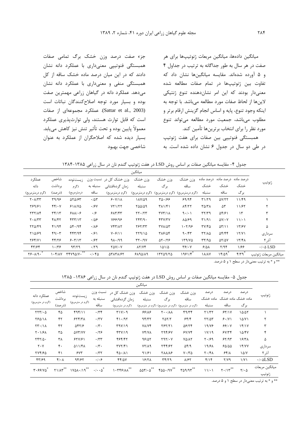جزء صفت درصد وزن خشک برگ تمامی صفات همبستگی فنوتییی معنیداری با عملکرد دانه نشان دادند که در این میان درصد ماده خشک ساقه از کل همبستگی منفی و معنیداری با عملکرد دانه نشان می دهد. عملکرد دانه در گیاهان زراعی مهمترین صفت بوده و بسیار مورد توجه اصلاح کنندگان نباتات است (Sattar et al., 2003). عملکرد مجموعهای از صفات است که قابل توارث هستند، ولی توارثپذیری عملکرد معمولاً پايين بوده و تحت تأثير تنش نيز كاهش مييابد. بسیار دیده شده که اصلاحگران از عملکرد به عنوان شاخصي جهت بهبود

میانگین دادهها، میانگین مربعات ژنوتیپها برای هر صفت در هر سال به طور جداگانه به ترتیب در جداول ۴ و ۵ آورده شدهاند. مقایسه میانگینها نشان داد که تفاوت بين ژنوتيپها در تمام صفات مطالعه شده معنیدار بودند که این امر نشاندهنده تنوع ژنتیکی لاينها از لحاظ صفات مورد مطالعه مي باشد. با توجه به اینکه وجود تنوع، پایه و اساس انجام گزینش ارقام برتر و مطلوب می باشد، جمعیت مورد مطالعه می تواند تنوع مورد نظر را براي انتخاب برترينها تأمين كند. همبستگی فنوتیپی بین صفات برای هفت ژنوتیپ

در طی دو سال در جدول ۶ نشان داده شده است. به

جدول ۴- مقایسه میانگین صفات بر اساس روش LSD در هفت ژنوتیپ گندم نان در سال زراعی ۱۳۸۵-۱۳۸۴

|                               |              |                                         |                         |                                     | ميانگين         |                                 |                                                  |                                               |                               |                   |                                |
|-------------------------------|--------------|-----------------------------------------|-------------------------|-------------------------------------|-----------------|---------------------------------|--------------------------------------------------|-----------------------------------------------|-------------------------------|-------------------|--------------------------------|
| عملكرد                        | شاخص         | ز يست توده                              |                         | وزن خشک کل در فسبت وزن              | وزن خشک         | وزن خشک                         | وزن خشک                                          |                                               | درصد ماده۔درصد ماده۔درصد ماده |                   |                                |
| دانه                          | بر داشت      | (گر م                                   | سنبله به                | زمان گردەافشانى                     | سنبله           | بر گ                            | ساقه                                             | خشک                                           | خشک                           | خشک               | ژنوتيپ                         |
| (گرم درمترمربع)               | (د, صد)      | درمترمربع)                              | ساقه                    | (گرم درمترمربع)                     | (گرم درمترمربع) | (گرم درمترمربع)۔(گرم درمترمربع) |                                                  | سنىلە                                         | ساقه                          | برگ               |                                |
| $Y \cdot \Lambda/YY$          | 49/95        | 555/85                                  | $\cdot$ / $\Delta \tau$ | 9.411                               | 188/09          | 40.199                          | 99/98                                            | T1/T9                                         | $\Delta V/YY$                 | 11/F9             |                                |
| 189181                        | FF/Y         | 511/8                                   | .18V                    | YY1/YY                              | 100/09          | $T\Lambda$ $/$ $T$              | $\Lambda f/\Upsilon\Upsilon$                     | $\Gamma \Delta/\Gamma \Lambda$                | ۵٣                            | 11/۶۲             | ٢                              |
| <b>TTYIAF</b>                 | $\mathbf{r}$ | $5\lambda\lambda/\cdot$                 | .19                     | $F\Lambda\Upsilon/\Upsilon\Upsilon$ | $YY - YYY$      | TVT/1                           | 9.1.1                                            | $\mathbf{r} \mathbf{r}/\mathbf{r} \mathbf{q}$ | $\Delta f/\mathcal{F}$        | $\gamma$          | ٣                              |
| $Y \cdot \Lambda/YY$          | 41/67        | $f\uparrow\uparrow/$                    | .109                    | 788198                              | YfY/9.          | $f\uparrow\lor/\uparrow\lor$    | 10/89                                            | T1/91                                         | $\Delta V/\cdot V$            | 11/21             | ۴                              |
| YYQ/F9                        | f1/9f        | $\Delta \mathbf{f} \cdot 19 \mathbf{f}$ | .18                     | $YfY/\lambda Y$                     | 787/۳۳          | TVA/AT                          | 1.7/99                                           | $TY/F\Delta$                                  | $\Delta \Upsilon / \Upsilon$  | 15/97             | ۵                              |
| ٢١۵/۶٩                        | 49.5         | 447/94                                  | $\cdot$ /۶)             | Y.5/11                              | YY9/10          | ۳۸۶/۵۴                          | 9.79                                             | <b>٣٢/٨٥</b>                                  | ۵۴/۴۴                         | 15/1              | سرداری                         |
| 784/V1                        | 44/26        | 5.7/17                                  | .185                    | $9\lambda \cdot 199$                | $YY \cdot 19Y$  | $\Delta Y \cdot / Y$            | 179/40                                           | $\tau\tau/90$                                 | $\Delta Y/\Delta V$           | 17/F <sub>A</sub> | آذ, ۲                          |
| ۴۳۱۶۴                         | 1.79         | 97/79                                   | .79                     | $Y\Delta V/\cdot V$                 | $\lambda Y/Y$   | 101/2                           | $\mathbf{Y}$ $\mathbf{S}$ $\mathbf{I}$ $\cdot$ Y | 9/21                                          | $Y/9$ ۴                       | 1/۶۶              | $\cdot$ / $\cdot$ $\Delta$ LSD |
| $Y \rightarrow \lambda / 9$ . | 1.5/1        | TfV9Q/V                                 | .1.40                   | <b>ATATA/۶۲</b>                     | 5130/19         | 17709/70                        | 1981/F                                           | <b><i>MAY</i></b>                             | 18/29                         | F/T9              | ميانگين مربعات ژنوتيپ          |

\*\* و \* به ترتیب معنیدار در سطح ۱ و ۵ درصد.

جدول ۵- مقایسه میانگین صفات بر اساس روش LSD در هفت ژنوتیپ گندم نان در سال زراعی ۱۳۸۶- ۱۳۸۵

|                                              |                   |                                            |                                  |                         | ميانگين                                      |                                                    |                              |                      |                              |                   |                                |
|----------------------------------------------|-------------------|--------------------------------------------|----------------------------------|-------------------------|----------------------------------------------|----------------------------------------------------|------------------------------|----------------------|------------------------------|-------------------|--------------------------------|
|                                              | شاخص              |                                            |                                  | وزن خشک کل در۔ نسبت وزن |                                              | وزن خشک وزن خشک                                    | وزن خشک                      | در صد                | در صد                        | د, صد             | ژنوتيپ                         |
| عملكرد دانه<br>(گرم در مترمربع)              | بر داشت           | زیستتوده<br>(گرم در مترمربع)               | سنبله به                         | زمان گردهافشانی         | سنىلە                                        | بر گ                                               | ساقه                         |                      | ماده خشک ماده خشک ِ ماده خشک |                   |                                |
|                                              | (درصد)            |                                            | ساقه                             | (گرم در مترمربع)        |                                              | (گرم در مترمربع)۔(گرم در مترمربع) (گرم در مترمربع) |                              | سنىلە                | ساقه                         | بر گ              |                                |
| $\tau\tau\tau/\cdot \Delta$                  | ۴۵                | f9f/11                                     | .776                             | $T1Y/-9$                | 99189                                        | $Y \cdot \cdot / \lambda \lambda$                  | 49/76                        | Y1/TY                | 55/1V                        | 10/07             |                                |
| 780/11                                       | ۴۲                | 555/7                                      | $\cdot$ /۳۷                      | $f \cdot 197$           | 95/77                                        | <b>757/7</b>                                       | 55/5                         | $YY/\Delta Y$        | 9.1                          | $1\Delta/Y1$      | ۲                              |
| $\Upsilon \Upsilon \cdot / \Upsilon \Lambda$ | ۴۲                | 91718                                      | $\cdot/\tau$ .                   | T9Y/19                  | <b>YA/YF</b>                                 | 787/71                                             | $\Delta$ ۶/۲۴                | ۱۹/۷۶                | 99.4                         | 15/1V             | ٣                              |
| $Y \cdot 1/F$                                | ۳۵                | AVT/VY                                     | .179                             | f(Y)/19                 | <b>YF/YA</b>                                 | 294/67                                             | 5Y/Yf                        | 1Y/19                | 5Y/YF                        | 10/47             | ۴                              |
| $YYY/\Delta$ .                               | ۳۸                | 551/7                                      | $\cdot$ /٣٣                      | 484/47                  | 98/05                                        | $Y9Y/\cdot Y$                                      | YA/AY                        | $Y \cdot 199$        | 55/97                        | 15/T <sub>A</sub> | ۵                              |
| $Y \cdot Y$                                  | ۴٠                | 511/41                                     | $\cdot/\tau$ .                   | TVT/F1                  | $YY/\lambda$ 9                               | 244167                                             | $\Delta f$ /9                | ۱۹/۶۸                | 60100                        | 15/77             | سرداری                         |
| <b>TYF/FD</b>                                | ۴۱                | 5YY                                        | $\cdot$ /٣٢                      | ۴۵۰/۸۱                  | 91/۶۱                                        | <b>TAA/AS</b>                                      | $V \cdot / \tilde{V} \Delta$ | $Y \cdot / f \wedge$ | 55/1                         | $1\Delta/V$       | آذ, ۲                          |
| ۴۳۱۶۹                                        | $f/\cdot \Lambda$ | 94/67                                      | $\cdot \mid \cdot \rangle$       | 44/07                   | 18/71                                        | $\mathbf{r} \mathbf{r} / \mathbf{r} \mathbf{q}$    | $\lambda$ /۶۲                | $f/\gamma f$         | $Y/Y$ ۹                      | 1/Y1              | $\cdot$ / $\cdot$ $\Delta$ LSD |
| T.99/10                                      | $Y1/\Lambda Y$ ** | $1Y\Delta\lambda \cdot / 19$ <sup>**</sup> | $\cdot/\cdot\cdot\vartriangle^*$ | 1.799/AA                | $\Delta \Delta \Upsilon / \cdot \Delta^{**}$ | $f\Delta\Delta\cdot$ /9 $V^{**}$                   | $Y\Delta$ 9/9 $Y^{**}$       | 11/21                | $Y \cdot / Y^{**}$           | $Y/\cdot \Delta$  | ميانگين مربعات<br>ژنوتيپ       |

\*\* و \* به ترتیب معنیدار در سطح ۱ و ۵ درصد.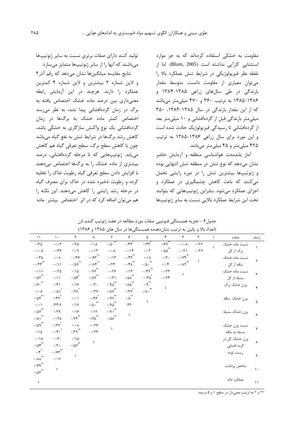مقاومت به خشکی استفاده کردهاند که به جز موارد استثنایی کارآیی نداشته است (Blum, 2005). اما از نقطه نظر فيزيولوژيكى در شرايط تنش عملكرد بالا را می توان معیاری از مقاومت دانست. متوسط مقدار بارندگی در طی سالهای زراعی ۱۳۸۵-۱۳۸۴ و ١٣٨۶-١٣٨۵ به ترتيب ٣۶٠ و ۴٧٠ ميلي متر مي باشد که از این مقدار بارندگی در سال ۱۳۸۵-۱۳۸۴، ۳۵۰ میلی متر بارندگی قبل از گردهافشانی و ١٠ میلی متر بعد از گردهافشانی تا رسیدگی فیزیولوژیک حادث شده است و این مورد برای سال زراعی ۱۳۸۶-۱۳۸۵ به ترتیب ۴۲۵ میلی متر و ۴۵ میلی متر می باشد.

آمار بلندمدت هواشناسی منطقه و آزمایش حاضر نشان میدهد که نوع تنش در منطقه تنش انتهایی بوده و ژنوتیپها بیشترین تنش را در دوره زایشی تحمل می کنند که باعث کاهش چشمگیری در عملکرد و اجزای عملکرد میشود. بنابراین ژنوتیپهایی که بتوانند تحت این شرایط عملکرد بالایی نسبت به سایر ژنوتیپها

تولید کنند دارای صفات برتری نسبت به سایر ژنوتیپها میباشند که آنها را از سایر ژنوتیپها متمایز میسازد.

نتایج مقایسه میانگینها نشان می دهد که رقم آذر ۲ و لاین شماره ۲ بیشترین و لاین شماره ۴ کمترین عملکرد را دارند. هرچند در این آزمایش رابطه معنیداری بین درصد ماده خشک اختصاص یافته به برگ در زمان گردهافشانی پیدا نشد، به نظر می رسد اختصاص کمتر ماده خشک به برگها در زمان گردهافشانی یک نوع واکنش سازگاری به خشکی باشد، كاهش رشد برگها در شرايط تنش به نفع گياه مىباشد چون با كاهش سطح برگ، سطح تعرقی گیاه هم كاهش می یابد. ژنوتیپهایی که تا مرحله گردهافشانی، درصد بیشتری از ماده خشک را به برگها اختصاص می دهند با افزایش دادن سطح تعرقی گیاه رطوبت خاک را تخلیه کرده و رطوبت ذخیره شده در خاک برای مصرف گیاه در مرحله رشد زایشی را کاهش میدهند. این نکته را هم می توان اضافه کرد که در اثر اختصاص بیشتر ماده

جدول۶ - تجزيه همبستگي فنوتيپي صفات مورد مطالعه در هفت ژنوتيپ گندم نان

|                                                                                  |                            |                             |                                                      |                                                                |                       | (اعداد بالا و پائین به ترتیب نشاندهنده همبستگیها در سال های ۱۳۸۵ و ۱۳۸۶) |                              |                        |              |               |               |
|----------------------------------------------------------------------------------|----------------------------|-----------------------------|------------------------------------------------------|----------------------------------------------------------------|-----------------------|--------------------------------------------------------------------------|------------------------------|------------------------|--------------|---------------|---------------|
| $\mathcal{N}$                                                                    | $\lambda$ .                | ٩                           | $\lambda$                                            | $\mathsf{v}$                                                   | ۶                     | ۵                                                                        | ۴                            | $\mathsf{r}$           | ٢            | صفت           | رديف          |
| $\cdot$ /٣۵                                                                      | $- \cdot / \cdot \tau$     | $\cdot$ /۳۵                 | $\cdot$ / $\cdot$ $\Delta$                           | $\cdot/\Delta$ .                                               | .756                  | $\cdot$ /۴۳                                                              | .199                         | $-\cdot/\cdot \Lambda$ | $-177$       | نسبت ماده خشک |               |
| $-\cdot/\cdot \wedge$                                                            | $-179$                     | $\cdot$ / $\cdot$ 9         | $-115$                                               | $\boldsymbol{\cdot}\, \boldsymbol{\cdot}\,\boldsymbol{\wedge}$ | $-115$                | $\cdot$ / $\cdot$ $\cdot$                                                | $\cdot$ /00                  | $-171$                 | $ \cdot$ /۲۷ | برگ از کل     |               |
| $-170$                                                                           | $\cdot/\cdot \wedge$       | $-159$                      | $-185$                                               | $-115$                                                         | $-144$                | $\cdot/\cdot \wedge$                                                     | $- \cdot / \cdot$            | $-1/\gamma f$          |              | نسىت مادە خشک | ۲             |
| $-144$                                                                           | $-\cdot/11$                | $-\cdot/\Delta V$           | $-\cdot/\lambda$ ۴                                   | .777                                                           | $-\cdot$ /۴۸          | $\cdot/\Delta$ .                                                         | $\cdot$ / $\cdot$ $\uparrow$ | $-1/\lambda \Upsilon$  |              | ساقه از کل    |               |
| $-\cdot/11$                                                                      | $-170$                     | .700                        | $\cdot$ /9 $\hat{\zeta}^*$                           | $-179$                                                         | .115                  | $-15V$                                                                   | $-177$                       |                        |              | نسىت مادە خشک |               |
| $\cdot$ / $\Delta \Upsilon$ <sup>**</sup>                                        | $\cdot/\rightarrow$        | .708                        | $\cdot$ / $\wedge$ 9 $^{**}$                         | $-171$                                                         | $\cdot/\Delta\lambda$ | $- \cdot / \mathfrak{F} \Delta$                                          | $-179$                       |                        |              | سنبله از کل   | ٣             |
| $\cdot$ $\beta$ . $\cdot$                                                        | $\cdot$ /٣١                | .19                         | $-17.$                                               | .490                                                           | $\cdot/\lambda\Delta$ | $\cdot$ /9 <sup>**</sup>                                                 |                              |                        |              | وزن خشک برگ   |               |
| $\cdot/\cdot \wedge$                                                             | $-101$                     | $\cdot$ /٣ $\Lambda$        | $-17V$                                               | $\cdot$ / $\lambda$ $\vee$                                     | $\cdot$ /٣٩           | $\cdot/\lambda$ .                                                        |                              |                        |              |               | ۴             |
| .708                                                                             | .791                       | $\cdot/\cdot$               | $-\cdot$ /۴۶                                         | .19V                                                           | $\cdot/\lambda$       |                                                                          |                              |                        |              | وزن خشک ساقه  |               |
| $\cdot/\cdot$                                                                    | $-\tau\tau/9$              | .11V                        | $\cdot$ /<br>δ $\cdot$ $\hspace{0.1cm}^{\star\star}$ | .490                                                           | /77                   | $\lambda$                                                                |                              |                        |              |               | ۵             |
| $\star\star$<br>$\cdot$ / $\Delta V$                                             | .79                        | .19                         | .117                                                 | $\cdot$ /9)                                                    |                       |                                                                          |                              |                        |              | وزن خشک سنبله |               |
| $\cdot/\Delta$                                                                   | $-170$                     | $\cdot$ / $\vee$ $\uparrow$ | $\cdot$ /65                                          | $\cdot/\Delta\Lambda$                                          |                       |                                                                          |                              |                        |              |               | ۶             |
| $\cdot$ /09                                                                      | $\cdot$ /٣٩                | $\cdot/\cdot \wedge$        | $-179$                                               |                                                                |                       |                                                                          |                              |                        |              | نسبت وزن خشک  |               |
| $\cdot/\Delta$                                                                   | $-1$                       | $\cdot$ / $\uparrow$ 9      | $-177$                                               | ١                                                              |                       |                                                                          |                              |                        |              | سنبله به ساقه | $\mathsf{v}$  |
| $-\cdot/\lambda$                                                                 | $- \cdot / \mathfrak{r}$ . | .700                        |                                                      |                                                                |                       |                                                                          |                              |                        |              | وزن خشک کل در |               |
| .708                                                                             | $\cdot/\Upsilon$ .         | $\cdot$ / $\Delta V$        | $\lambda$                                            |                                                                |                       |                                                                          |                              |                        |              | گرده افشانی   | ٨             |
| $\cdot$ /f <sup>*</sup>                                                          | $-184$                     |                             |                                                      |                                                                |                       |                                                                          |                              |                        |              | زيست توده     |               |
| $\cdot/\lambda\lambda$                                                           | $\cdot/\cdot$ Y            |                             |                                                      |                                                                |                       |                                                                          |                              |                        |              |               | ٩             |
| $\boldsymbol{\cdot}$ / $\boldsymbol{\mathfrak{f}}$ / $\boldsymbol{\mathfrak{f}}$ |                            |                             |                                                      |                                                                |                       |                                                                          |                              |                        |              | شاخص برداشت   |               |
| $\cdot$ / $\Delta \Upsilon^{**}$                                                 | $\lambda$                  |                             |                                                      |                                                                |                       |                                                                          |                              |                        |              |               | $\mathcal{L}$ |
|                                                                                  |                            |                             |                                                      |                                                                |                       |                                                                          |                              |                        |              | عملکر د دانه  |               |
| $\lambda$                                                                        |                            |                             |                                                      |                                                                |                       |                                                                          |                              |                        |              |               | $\setminus$   |
|                                                                                  |                            |                             |                                                      |                                                                |                       |                                                                          |                              |                        |              |               |               |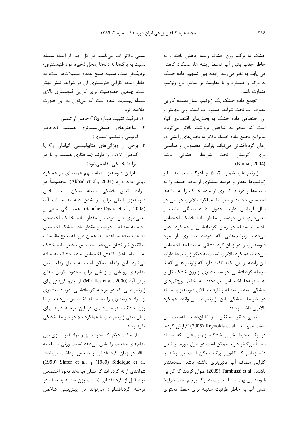خشک به برگ، وزن خشک ریشه کاهش یافته و به خاطر جذب يائين آب توسط ريشه ها، عملكرد كاهش می یابد. به نظر می رسد رابطه بین تسهیم ماده خشک به برگ و عملکرد و یا مقاومت بر اساس نوع ژنوتیپ متفاوت باشد.

تجمع ماده خشک یک ژنوتیپ نشاندهنده کارایی مصرف آب تحت شرایط کمبود آب است، ولی مهمتر از آن اختصاص ماده خشک به بخشهای اقتصادی گیاه است که منجر به شاخص برداشت بالاتر میگردد. بنابراین تجمع ماده خشک بالاتر به بخشهای زایشی در زمان گردهافشانی می تواند پارامتر محسوس و مناسبی برای گزینش تحت شرایط خشکی باشد .(Kumar, 2004)

ژنوتیپهای شماره ۲، ۵ و آذر ۲ نسبت به سایر ژنوتیپها مقدار و درصد بیشتری از ماده خشک را به سنبلهها و درصد کمتری از ماده خشک را به ساقهها اختصاص دادهاند و متوسط عملکرد بالاتری در طی دو سال آزمایش دارند. جدول ۶ همبستگی مثبت و معنیداری بین درصد و مقدار ماده خشک اختصاص یافته به سنبله در زمان گردهافشانی و عملکرد نشان میدهد. ژنوتیپهایی که درصد بیشتری از مواد فتوسنتزی را در زمان گردهافشانی به سنبلهها اختصاص می دهند عملکرد بالاتری نسبت به دیگر ژنوتیپها دارند. این رابطه بر این نکته تاکید دارد که ژنوتیپهایی که تا مرحله گردهافشانی، درصد بیشتری از وزن خشک کل را به سنبلهها اختصاص می دهند به خاطر ویژگیهای خشکی پسندتر سنبله و ظرفیت بالای فتوسنتزی سنبله در شرایط خشکی این ژنوتیپها میتوانند عملکرد بالاتری داشته باشند.

نتایج دیگر محققان نیز نشاندهنده اهمیت این صفت می باشد. .Reynolds et al (2005) گزارش کردند در یک محیط خیلی خشک، ژنوتیپهایی که سنبله نسبتاً بزرگتر دارند ممکن است در طول دوره پر شدن دانه زمانی که کانویی برگ ممکن است پیر باشد یا کارایی مصرف آب پائینتری داشته باشد، سودمندتر باشند. .Tambussi et al (2005) عنوان کردند که کارایی فتوسنتزی بهتر سنبله نسبت به برگ پرچم تحت شرایط تنش آب به خاطر ظرفیت سنبله برای حفظ محتوای

نسبی بالاتر آب میباشد. در کل جدا از اینکه سنبله نسبت به برگها به دانهها (محل ذخیره مواد فتوسنتزی) نزديكتر است، سنبله منبع عمده اسميلاتها است، به خاطر اینکه کارایی فتوسنتزی آن در شرایط تنش بهتر است. چندین خصوصیت برای کارایی فتوسنتزی بالای سنبله پیشنهاد شده است که می توان به این صورت خلاصه کړ د.

ا. ظرفيت تثبيت دوباره CO2 حاصل از تنفس

- ۲. ساختارهای خشکیپسندتری هستند (بهخاطر آناتومي وتنظيم اسمزى)
- ۳. برخی از ویژگیهای متابولیسمی گیاهان  $C_4$  یا گیاهان CAM را دارند (ساختاری هستند و یا در شرایط خشکی القاء می شود).

بنابراین فتوسنتز سنبله سهم عمده ای در عملکرد نهایی دانه دارد (Abbad et al., 2004). مخصوصاً در شرایط تنش خشکی سنبله ممکن است بخش فتوسنتزی اصلی برای پر شدن دانه به حساب آید (Sanchez-Dyaz et al., 2002). همبستگی منفی و معنیداری بین درصد و مقدار ماده خشک اختصاص یافته به سنبله با درصد و مقدار ماده خشک اختصاص یافته به ساقه مشاهده شد. همان طور که نتایج مقایسات میانگین نیز نشان میدهد اختصاص بیشتر ماده خشک به سنبله باعث كاهش اختصاص ماده خشك به ساقه می شود. این رابطه ممکن است به دلیل رقابت بین اندامهای رویشی و زایشی برای محدود کردن منابع ييش آيد (Miralles et al., 2000). از اينرو گزينش براي ژنوتیپهایی که در مرحله گردهافشانی، درصد بیشتری از مواد فتوسنتزی را به سنبله اختصاص می دهند و یا وزن خشک سنبله بیشتری در این مرحله دارند برای پیش بینی ژنوتیپهای با عملکرد بالا در شرایط خشکی مفىد ياشد.

از صفات دیگر که نحوه تسهیم مواد فتوسنتزی بین اندامهای مختلف را نشان میدهد نسبت وزنی سنبله به ساقه در زمان گردهافشانی و شاخص برداشت میباشد. (1990) Slafer et al. (1989) Siddique et al. شواهدی ارائه کرده اند که نشان می،دهد نحوه اختصاص مواد قبل از گردهافشانی (نسبت وزن سنبله به ساقه در مرحله گردهافشانی) میتواند در پیشبینی شاخص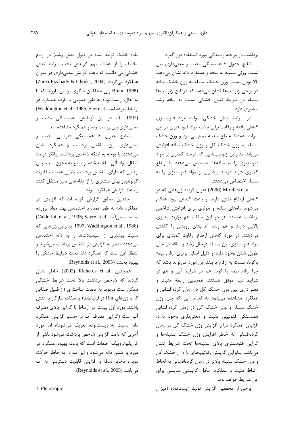برداشت در مرحله رسیدگی مورد استفاده قرار گیرد.

نتایج جدول ۶ همبستگی مثبت و معنیداری بین نسبت وزنی سنبله به ساقه و عملکرد دانه نشان می دهد. بالا بودن نسبت وزن خشک سنبله به وزن خشک ساقه در برخی ژنوتیپها نشان میدهد که در این ژنوتیپها سنبله در شرایط تنش خشکی نسبت به ساقه رشد بیشتری دارد.

در شرایط تنش خشکی، تولید مواد فتوسنتزی کاهش یافته و رقابت برای جذب مواد فتوسنتزی در این شرایط عمدتا به نفع سنبله تمام می شود و وزن خشک سنبله به وزن خشک کل و وزن خشک ساقه افزایش می یابد. بنابراین ژنوتیپهایی که درصد کمتری از مواد فتوسنتزى را به ساقهها اختصاص مى دهند يا ارتفاع کمتری دارند درصد بیشتری از مواد فتوسنتزی را به سنبله اختصاص مے،دهند.

.2000) Miralles et al (2000) عنوان كردند ژنهايي كه در کاهش ارتفاع نقش دارند و باعث گلدهی زود هنگام می شوند راههای ساده و موثری برای افزایش شاخص برداشت هستند هر دو این صفات هم توارث پذیری بالایی دارند و هم رشد اندامهای رویشی را کاهش می دهند. در مورد کاهش ارتفاع، رقابت کمتری برای مواد فتوسنتزی بین سنبله درحال رشد و ساقه در حال طویل شدن وجود دارد و دلیل اصلی برتری ارقام نیمه پاکوتاه نسبت به ارقام پا بلند این مورد میتواند باشد که چرا ارقام نیمه پا کوتاه هم در شرایط آبی و هم در شرایط دیم موفق هستند. همچنین رابطه مثبت و معنیداری بین وزن خشک کل در زمان گردهافشانی و عملکرد مشاهده می شود به لحاظ این که بین وزن خشک سنبله و وزن خشک کل در زمان گردهافشانی همبستگی فنوتیپی مثبت و معنیداری وجود دارد، افزایش عملکرد دراثر افزایش وزن خشک کل در زمان گردهافشانی به خاطر افزایش وزن خشک سنبلهها و كارايي فتوسنتزى بالاى سنبلهها تحت شرايط تنش میباشد. بنابراین گزینش ژنوتیپهای با وزن خشک کل و وزن خشک سنبله بالاتر در زمان گردهافشانی به لحاظ ارتباط مثبت با عملكرد، عامل گزينشى مناسبى براى این شرایط خواهد بود.

برخی از محققین افزایش تولید زیستتوده (میزان

ماده خشک تولید شده در طول فصل رشد) در ارقام مختلف را از اهداف مهم گزینش تحت شرایط تنش خشکی می دانند، که باعث افزایش معنیداری در میزان (Zarea-Fizabady & Ghodsi, 2004; عملكرد مى گردد (Blum, 1998 ولی محققین دیگری بر این باورند که تا به حال، زیستتوده به طور عمومی با بازده عملکرد در ارتباط نبوده است Waddington et al., 1986; Sayre et) al., 1997). در این آزمایش، همبستگی مثبت و معنیداری بین زیستتوده و عملکرد مشاهده شد.

نتايج جدول ۶ همبستگي فنوتيپي مثبت و معنیداری بین شاخص برداشت و عملکرد نشان می دهند. با توجه به اینکه شاخص برداشت بیانگر درصد انتقال مواد آلى ساخته شده از منبع به مخزن است، پس ارقامی که دارای شاخص برداشت بالایی هستند، قادرند کربوهیدراتهای بیشتری را از اندامهای سبز منتقل کنند و باعث افزايش عملكرد شوند.

چندین محقق گزارش کرده اند که افزایش در عملكرد دانه به طور عمده با اختصاص بهتر مواد پرورده (Calderini, et al., 1995; Sayre et al., به دست می[باید (1986) 1997; Waddington et al., 1986. بنابراين ژنهايي كه نسبت بیشتری از اسیمیلاتها را به دانه اختصاص میدهند منجر به افزایش در شاخص برداشت میشوند و انتظار این است که عملکرد دانه تحت شرایط خشکی را .(Reynolds et al., 2005).

همچنین .Richards et al (2002) خاطر نشان کردند که شاخص برداشت بالا تحت شرایط خشکی ممکن است مربوط به صفات ساختاری (از قبیل صفاتی که با ژنهای Rht در ارتباطند) یا صفات سازگار به تنش باشند. مورد اول بیشتر در ارتباط با کارایی بالای مصرف آب است (كارايي مصرف آب بر حسب افزايش عملكرد دانه نسبت به زیستتوده تعریف می شود)، اما مورد آخری که باعث افزایش شاخص برداشت میشود ناشی از اثر پلیوتروییک' صفات است که باعث بهبود عملکرد در دوره پر شدن دانه می شود و این مورد به خاطر حرکت دوباره ذخایر ساقه و افزایش قابلیت دسترسی به آب میباشد (Reynolds et al., 2005).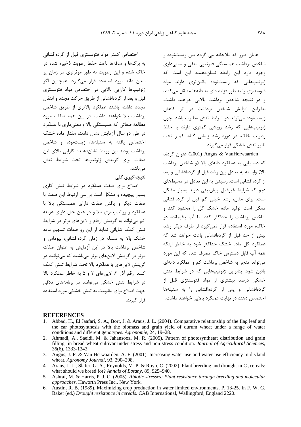همان طور که ملاحظه می گردد بین زیستتوده و شاخص برداشت همبستگی فنوتییی منفی و معنیداری وجود دارد این رابطه نشاندهنده این است که ژنوتیپھایی که زیستتوده یائینتری دارند مواد فتوسنتزی را به طور فزایندهای به دانهها منتقل میکنند و در نتیجه شاخص برداشت بالایی خواهند داشت. بنابراین افزایش شاخص برداشت در اثر کاهش زیست توده می تواند در شرایط تنش مطلوب باشد. چون ژنوتیپهایی که رشد رویشی کمتری دارند با حفظ رطوبت خاک، در دوره رشد زایشی گیاه، کمتر تحت تاثیر تنش خشکی قرار می گیرند.

2001) Angus & VanHerwaarden عنوان كردند که دستیابی به عملکرد دانهای بالا (و شاخص برداشت بالا) وابسته به تعادل بین رشد قبل از گردهافشانی و بعد از گردهافشانی است. رسیدن به این تعادل در محیطهای دیم که شرایط غیرقابل پیشبینی دارند بسیار مشکل است. برای مثال، رشد خیلی کم قبل از گردهافشانی ممکن است تولید ماده خشک کل را محدود کند و شاخص برداشت را حداکثر کند اما آب باقیمانده در خاک، مورد استفاده قرار نمی گیرد از طرف دیگر رشد بیش از حد قبل از گردهافشانی باعث خواهد شد که عملکرد کل ماده خشک حداکثر شود به خاطر اینکه همه آب قابل دسترس خاک مصرف شده که این مورد می تواند منجر به شاخص برداشت کم و عملکرد دانهای پائین شود. بنابراین ژنوتیپهایی که در شرایط تنش خشکی درصد بیشتری از مواد فتوسنتزی قبل از گردهافشانی و پس از گردهافشانی را به سنبلهها اختصاص دهند در نهایت عملکرد بالایی خواهند داشت.

اختصاص کمتر مواد فتوسنتزی قبل از گردهافشانی به برگها و ساقهها باعث حفظ رطوبت ذخیره شده در خاک شده و این رطوبت به طور موثرتری در زمان پر شدن دانه مورد استفاده قرار میگیرد. همچنین اگر ژنوتیپها کارایی بالایی در اختصاص مواد فتوسنتزی قبل و بعد از گردهافشانی از طریق حرکت مجدد و انتقال مجدد داشته باشند عملكرد بالاترى از طريق شاخص برداشت بالا خواهند داشت. در بين همه صفات مورد مطالعه صفاتي كه همبستگي بالا و معنىداري با عملكرد در طی دو سال آزمایش نشان دادند، مقدار ماده خشک اختصاص یافته به سنبلهها، زیستتوده و شاخص برداشت بودند این روابط نشان دهنده کارایی بالای این صفات برای گزینش ژنوتیپها تحت شرایط تنش مے ِباشد.

## نتىجەگىرى كلى

اصلاح برای صفت عملکرد در شرایط تنش کاری بسیار پیچیده و مشکل است بررسی ارتباط این صفت با صفات دیگر و بافتن صفات دارای همیستگی بالا با عملکرد و وراثت پذیری بالا و در عین حال دارای هزینه کم می تواند به گزینش ارقام و لاین های برتر در شرایط تنش کمک شایانی نماید از این رو صفات تسهیم ماده خشک بالا به سنبله در زمان گردهافشانی، بیوماس و شاخص برداشت بالا در این آزمایش به عنوان صفات موثر در گزینش لاینهای برتر میباشند که میتوانند در گزینش لاینهای با عملکرد بالا تحت شرایط تنش کمک كنند. رقم آذر ٢، لاينهاى ٢ و ۵ به خاطر عملكرد بالا در شرایط تنش خشکی می توانند در برنامههای تلاقی جهت اصلاح برای مقاومت به تنش خشکی مورد استفاده قرا, گېرند.

#### **REFERENCES**

- Abbad, H., El Jaafari, S. A., Bort, J. & Araus, J. L. (2004). Comparative relationship of the flag leaf and the ear photosynthesis with the biomass and grain yield of durum wheat under a range of water conditions and different genotypes. Agronomie, 24, 19-28.
- 2. Ahmadi, A., Saeidi, M. & Jahansooz, M. R. (2005). Pattern of photosynthetat distribution and grain filling in bread wheat cultivar under stress and non stress condition. Journal of Agricultural Sciences, 36(6), 1333-1343.
- 3. Angus, J. F. & Van Herwaarden, A. F. (2001). Increasing water use and water-use efficiency in dryland wheat. Agronomy Journal, 93, 290-298.
- 4. Araus, J. L., Slafer, G. A., Reynolds, M. P. & Royo, C. (2002). Plant breeding and drought in  $C_3$  cereals: what should we breed for? Annals of Botany, 89, 925-940.
- 5. Ashraf, M. & Harris, P. J. C. (2005). Abiotic stresses: Plant resistance through breeding and molecular *approaches.* Haworth Press Inc., New York.
- 6. Austin, R. B. (1989). Maximizing crop production in water limited environments. P. 13-25. In F. W. G. Baker (ed.) Drought resistance in cereals. CAB International, Wallingford, England 2220.